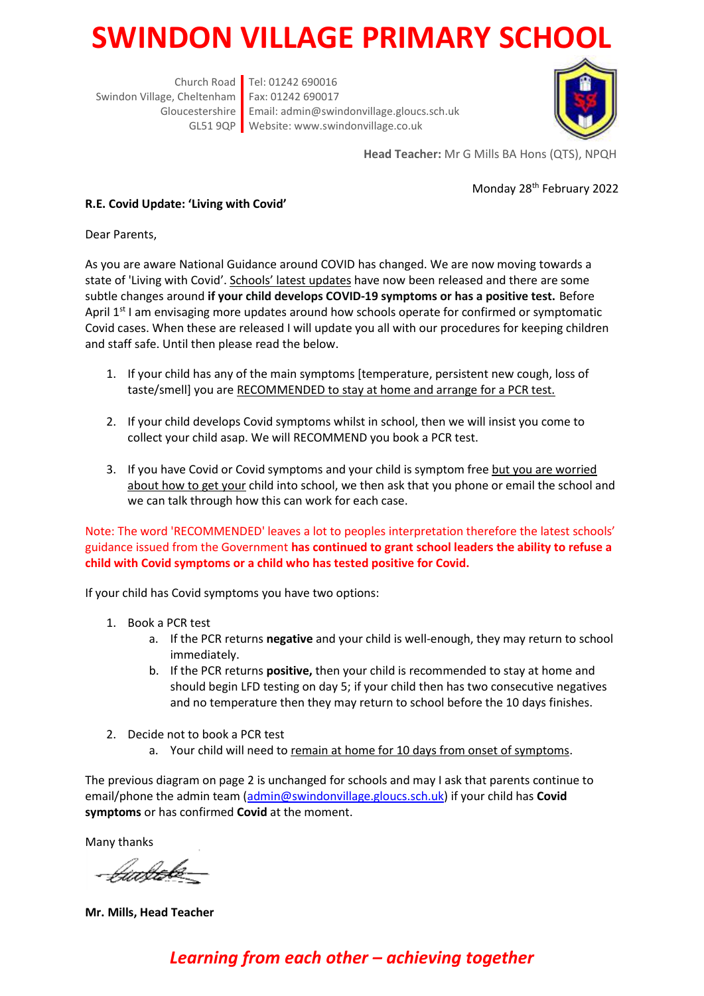## **SWINDON VILLAGE PRIMARY SCHOOL**

Church Road Tel: 01242 690016 Swindon Village, Cheltenham Fax: 01242 690017 Gloucestershire Email: admin@swindonvillage.gloucs.sch.uk GL51 9QP Website: www.swindonvillage.co.uk



**Head Teacher:** Mr G Mills BA Hons (QTS), NPQH

Monday 28th February 2022

## **R.E. Covid Update: 'Living with Covid'**

Dear Parents,

As you are aware National Guidance around COVID has changed. We are now moving towards a state of 'Living with Covid'. Schools' latest updates have now been released and there are some subtle changes around **if your child develops COVID-19 symptoms or has a positive test.** Before April 1<sup>st</sup> I am envisaging more updates around how schools operate for confirmed or symptomatic Covid cases. When these are released I will update you all with our procedures for keeping children and staff safe. Until then please read the below.

- 1. If your child has any of the main symptoms [temperature, persistent new cough, loss of taste/smell] you are RECOMMENDED to stay at home and arrange for a PCR test.
- 2. If your child develops Covid symptoms whilst in school, then we will insist you come to collect your child asap. We will RECOMMEND you book a PCR test.
- 3. If you have Covid or Covid symptoms and your child is symptom free but you are worried about how to get your child into school, we then ask that you phone or email the school and we can talk through how this can work for each case.

Note: The word 'RECOMMENDED' leaves a lot to peoples interpretation therefore the latest schools' guidance issued from the Government **has continued to grant school leaders the ability to refuse a child with Covid symptoms or a child who has tested positive for Covid.**

If your child has Covid symptoms you have two options:

- 1. Book a PCR test
	- a. If the PCR returns **negative** and your child is well-enough, they may return to school immediately.
	- b. If the PCR returns **positive,** then your child is recommended to stay at home and should begin LFD testing on day 5; if your child then has two consecutive negatives and no temperature then they may return to school before the 10 days finishes.
- 2. Decide not to book a PCR test
	- a. Your child will need to remain at home for 10 days from onset of symptoms.

The previous diagram on page 2 is unchanged for schools and may I ask that parents continue to email/phone the admin team [\(admin@swindonvillage.gloucs.sch.uk\)](mailto:admin@swindonvillage.gloucs.sch.uk) if your child has **Covid symptoms** or has confirmed **Covid** at the moment.

Many thanks

*Umbek*o

**Mr. Mills, Head Teacher**

## *Learning from each other – achieving together*